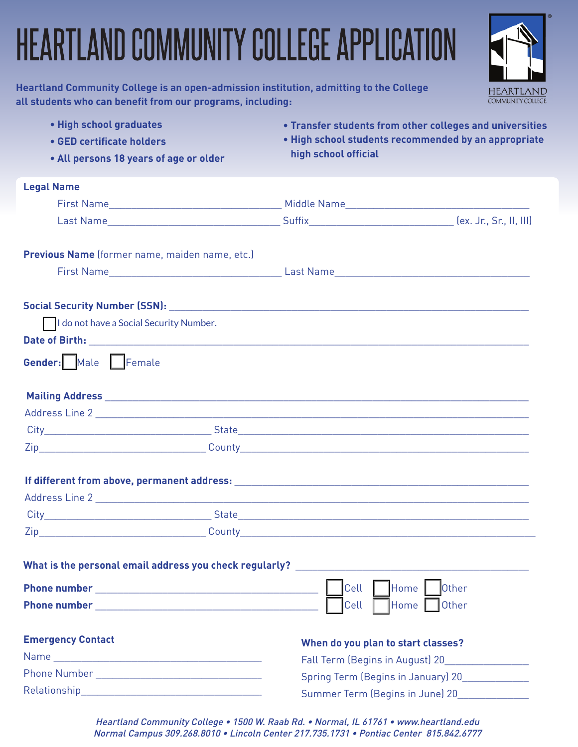# HEARTLAND COMMUNITY COLLEGE APPLICATION

**HEART COMMUNITY COLLEGE** 

| Heartland Community College is an open-admission institution, admitting to the College |
|----------------------------------------------------------------------------------------|
| all students who can benefit from our programs, including:                             |

| . High school graduates                        | • Transfer students from other colleges and universities                                                                       |
|------------------------------------------------|--------------------------------------------------------------------------------------------------------------------------------|
| • GED certificate holders                      | . High school students recommended by an appropriate                                                                           |
| • All persons 18 years of age or older         | high school official                                                                                                           |
| <b>Legal Name</b>                              |                                                                                                                                |
|                                                |                                                                                                                                |
|                                                |                                                                                                                                |
| Previous Name (former name, maiden name, etc.) |                                                                                                                                |
|                                                |                                                                                                                                |
|                                                |                                                                                                                                |
| I do not have a Social Security Number.        |                                                                                                                                |
|                                                |                                                                                                                                |
|                                                | <b>Gender:</b> Male Female <b>Fundament</b> Female                                                                             |
|                                                |                                                                                                                                |
|                                                |                                                                                                                                |
|                                                |                                                                                                                                |
|                                                |                                                                                                                                |
|                                                |                                                                                                                                |
|                                                |                                                                                                                                |
|                                                |                                                                                                                                |
|                                                |                                                                                                                                |
|                                                |                                                                                                                                |
|                                                | What is the personal email address you check regularly?<br>The manufacturer of the personal email address you check regularly? |
|                                                | Home  <br>Cell<br><b>Other</b>                                                                                                 |
|                                                | Cell<br>Home  <br><b>Other</b>                                                                                                 |
| <b>Emergency Contact</b>                       | When do you plan to start classes?                                                                                             |
|                                                | Fall Term (Begins in August) 20                                                                                                |
|                                                | Spring Term (Begins in January) 20                                                                                             |
|                                                | Summer Term (Begins in June) 20                                                                                                |

Heartland Community College • 1500 W. Raab Rd. • Normal, IL 61761 • www.heartland.edu Normal Campus 309.268.8010 • Lincoln Center 217.735.1731 • Pontiac Center 815.842.6777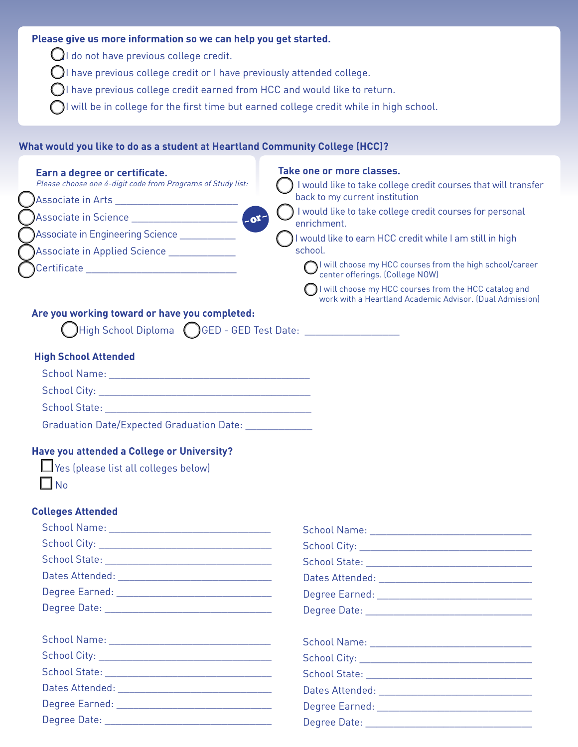## **Please give us more information so we can help you get started.**

 $\bigcirc$ I do not have previous college credit.

I have previous college credit or I have previously attended college.

 $\bigcirc$ I have previous college credit earned from HCC and would like to return.

 $\bigcap$ I will be in college for the first time but earned college credit while in high school.

## **What would you like to do as a student at Heartland Community College (HCC)?**

| Earn a degree or certificate.<br>Please choose one 4-digit code from Programs of Study list:                                                                                                                                                  | Take one or more classes.<br>I would like to take college credit courses that will transfer                       |
|-----------------------------------------------------------------------------------------------------------------------------------------------------------------------------------------------------------------------------------------------|-------------------------------------------------------------------------------------------------------------------|
| Associate in Arts _________________________                                                                                                                                                                                                   | back to my current institution                                                                                    |
| $-01$<br>Associate in Science <b>Constantine and Constantine Constantine Constantine Constantine Constantine Constantine Constantine Constantine Constantine Constantine Constantine Constantine Constantine Constantine Constantine Cons</b> | I would like to take college credit courses for personal                                                          |
| Associate in Engineering Science ___________                                                                                                                                                                                                  | enrichment.                                                                                                       |
|                                                                                                                                                                                                                                               | I would like to earn HCC credit while I am still in high<br>school.                                               |
| Associate in Applied Science ____________                                                                                                                                                                                                     | I will choose my HCC courses from the high school/career                                                          |
| Certificate __________________________________                                                                                                                                                                                                | center offerings. (College NOW)                                                                                   |
|                                                                                                                                                                                                                                               | I will choose my HCC courses from the HCC catalog and<br>work with a Heartland Academic Advisor. (Dual Admission) |
| Are you working toward or have you completed:                                                                                                                                                                                                 |                                                                                                                   |
| $\bigcap$ High School Diploma $\bigcirc$ GED - GED Test Date: ___________________                                                                                                                                                             |                                                                                                                   |
| <b>High School Attended</b>                                                                                                                                                                                                                   |                                                                                                                   |
|                                                                                                                                                                                                                                               |                                                                                                                   |
|                                                                                                                                                                                                                                               |                                                                                                                   |
|                                                                                                                                                                                                                                               |                                                                                                                   |
| Graduation Date/Expected Graduation Date: Charles Craduation Date:                                                                                                                                                                            |                                                                                                                   |
| Have you attended a College or University?                                                                                                                                                                                                    |                                                                                                                   |
| Yes (please list all colleges below)                                                                                                                                                                                                          |                                                                                                                   |
| $\Box$ No                                                                                                                                                                                                                                     |                                                                                                                   |
|                                                                                                                                                                                                                                               |                                                                                                                   |
| <b>Colleges Attended</b>                                                                                                                                                                                                                      |                                                                                                                   |
|                                                                                                                                                                                                                                               | School Name: Van American American American American American American American American American American        |
|                                                                                                                                                                                                                                               |                                                                                                                   |
|                                                                                                                                                                                                                                               |                                                                                                                   |
| Dates Attended: University of the University of the University of the University of the University of the University of the University of the University of the University of the University of the University of the Universi                |                                                                                                                   |
|                                                                                                                                                                                                                                               |                                                                                                                   |
|                                                                                                                                                                                                                                               |                                                                                                                   |
|                                                                                                                                                                                                                                               |                                                                                                                   |
|                                                                                                                                                                                                                                               |                                                                                                                   |
|                                                                                                                                                                                                                                               | School State: New York Change and School State:                                                                   |

Dates Attended:  $\Box$  Degree Earned: \_\_\_\_\_\_\_\_\_\_\_\_\_\_\_\_\_\_\_\_\_\_\_\_\_\_\_\_ Degree Date: \_\_\_\_\_\_\_\_\_\_\_\_\_\_\_\_\_\_\_\_\_\_\_\_\_\_\_\_\_\_ Dates Attended: \_\_\_\_\_\_\_\_\_\_\_\_\_\_\_\_\_\_\_\_\_\_\_\_\_\_\_\_ Degree Earned:  $\Box$ Degree Date: \_\_\_\_\_\_\_\_\_\_\_\_\_\_\_\_\_\_\_\_\_\_\_\_\_\_\_\_\_\_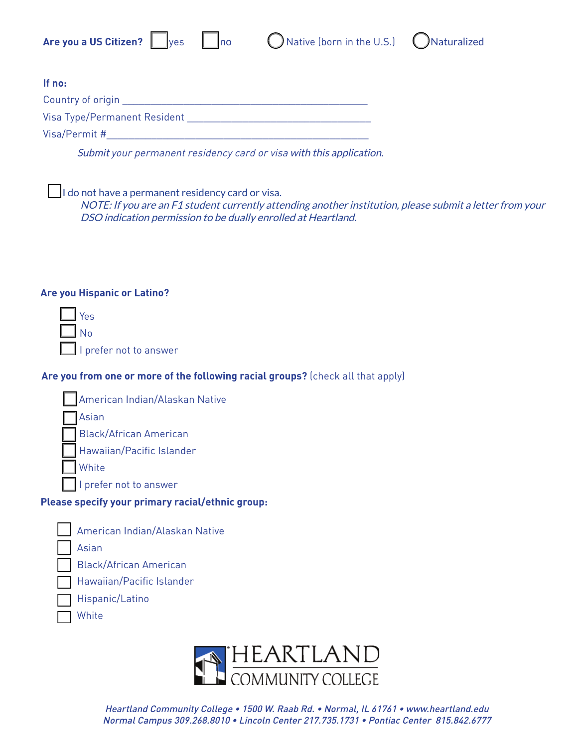| ۰. |
|----|



| lf no:                       |  |
|------------------------------|--|
| Country of origin            |  |
| Visa Type/Permanent Resident |  |
| Visa/Permit #                |  |

Submit your permanent residency card or visa with this application.

I do not have a permanent residency card or visa.

NOTE: If you are an F1 student currently attending another institution, please submit a letter from your DSO indication permission to be dually enrolled at Heartland.

## **Are you Hispanic or Latino?**

| $\blacksquare$ Yes     |  |
|------------------------|--|
| $\Box$ No              |  |
| I prefer not to answer |  |

## **Are you from one or more of the following racial groups?** (check all that apply)

Hawaiian/Pacific Islander

### Hispanic/Latino

#### White



Heartland Community College • 1500 W. Raab Rd. • Normal, IL 61761 • www.heartland.edu Normal Campus 309.268.8010 • Lincoln Center 217.735.1731 • Pontiac Center 815.842.6777